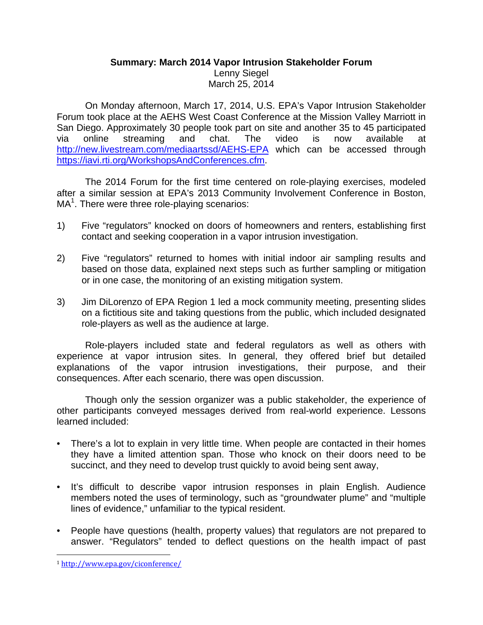## **Summary: March 2014 Vapor Intrusion Stakeholder Forum**  Lenny Siegel March 25, 2014

On Monday afternoon, March 17, 2014, U.S. EPA's Vapor Intrusion Stakeholder Forum took place at the AEHS West Coast Conference at the Mission Valley Marriott in San Diego. Approximately 30 people took part on site and another 35 to 45 participated via online streaming and chat. The video is now available at http://new.livestream.com/mediaartssd/AEHS-EPA which can be accessed through https://iavi.rti.org/WorkshopsAndConferences.cfm.

The 2014 Forum for the first time centered on role-playing exercises, modeled after a similar session at EPA's 2013 Community Involvement Conference in Boston,  $MA<sup>1</sup>$ . There were three role-playing scenarios:

- 1) Five "regulators" knocked on doors of homeowners and renters, establishing first contact and seeking cooperation in a vapor intrusion investigation.
- 2) Five "regulators" returned to homes with initial indoor air sampling results and based on those data, explained next steps such as further sampling or mitigation or in one case, the monitoring of an existing mitigation system.
- 3) Jim DiLorenzo of EPA Region 1 led a mock community meeting, presenting slides on a fictitious site and taking questions from the public, which included designated role-players as well as the audience at large.

Role-players included state and federal regulators as well as others with experience at vapor intrusion sites. In general, they offered brief but detailed explanations of the vapor intrusion investigations, their purpose, and their consequences. After each scenario, there was open discussion.

Though only the session organizer was a public stakeholder, the experience of other participants conveyed messages derived from real-world experience. Lessons learned included:

- There's a lot to explain in very little time. When people are contacted in their homes they have a limited attention span. Those who knock on their doors need to be succinct, and they need to develop trust quickly to avoid being sent away,
- It's difficult to describe vapor intrusion responses in plain English. Audience members noted the uses of terminology, such as "groundwater plume" and "multiple lines of evidence," unfamiliar to the typical resident.
- People have questions (health, property values) that regulators are not prepared to answer. "Regulators" tended to deflect questions on the health impact of past

 <sup>1</sup> http://www.epa.gov/ciconference/